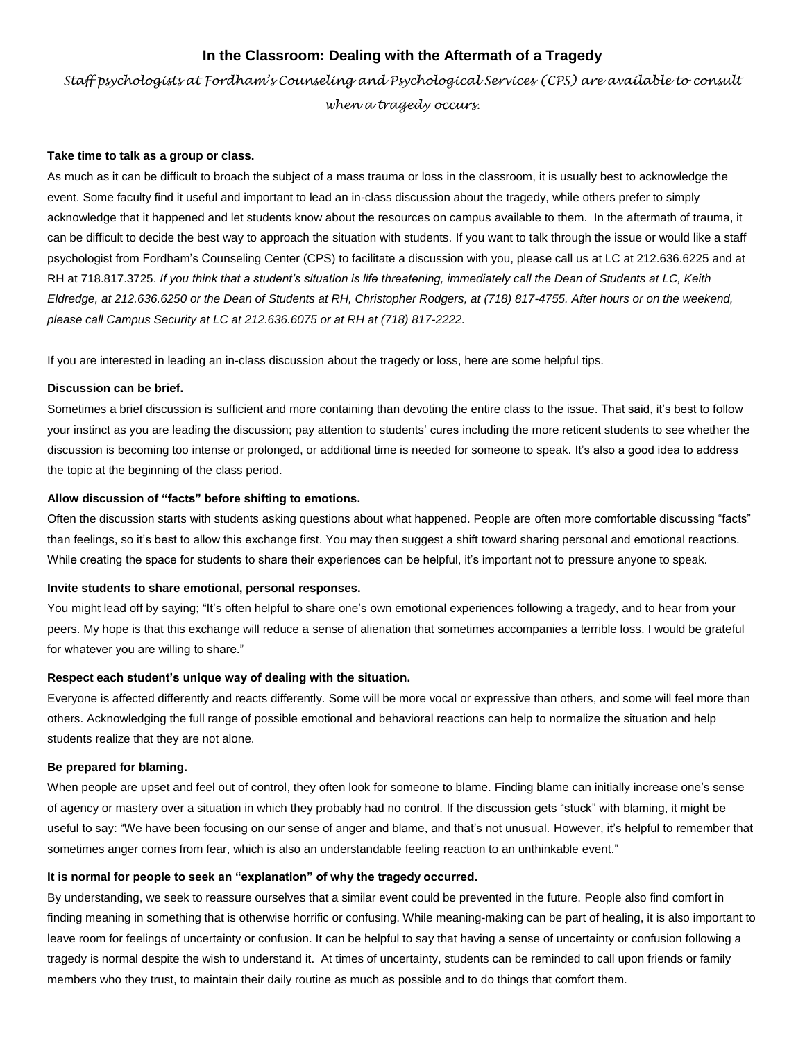# **In the Classroom: Dealing with the Aftermath of a Tragedy**

*Staff psychologists at Fordham's Counseling and Psychological Services (CPS) are available to consult when a tragedy occurs.*

#### **Take time to talk as a group or class.**

As much as it can be difficult to broach the subject of a mass trauma or loss in the classroom, it is usually best to acknowledge the event. Some faculty find it useful and important to lead an in-class discussion about the tragedy, while others prefer to simply acknowledge that it happened and let students know about the resources on campus available to them. In the aftermath of trauma, it can be difficult to decide the best way to approach the situation with students. If you want to talk through the issue or would like a staff psychologist from Fordham's Counseling Center (CPS) to facilitate a discussion with you, please call us at LC at 212.636.6225 and at RH at 718.817.3725. *If you think that a student's situation is life threatening, immediately call the Dean of Students at LC, Keith Eldredge, at 212.636.6250 or the Dean of Students at RH, Christopher Rodgers, at (718) 817-4755. After hours or on the weekend, please call Campus Security at LC at 212.636.6075 or at RH at (718) 817-2222.*

If you are interested in leading an in-class discussion about the tragedy or loss, here are some helpful tips.

## **Discussion can be brief.**

Sometimes a brief discussion is sufficient and more containing than devoting the entire class to the issue. That said, it's best to follow your instinct as you are leading the discussion; pay attention to students' cures including the more reticent students to see whether the discussion is becoming too intense or prolonged, or additional time is needed for someone to speak. It's also a good idea to address the topic at the beginning of the class period.

## **Allow discussion of "facts" before shifting to emotions.**

Often the discussion starts with students asking questions about what happened. People are often more comfortable discussing "facts" than feelings, so it's best to allow this exchange first. You may then suggest a shift toward sharing personal and emotional reactions. While creating the space for students to share their experiences can be helpful, it's important not to pressure anyone to speak.

#### **Invite students to share emotional, personal responses.**

You might lead off by saying; "It's often helpful to share one's own emotional experiences following a tragedy, and to hear from your peers. My hope is that this exchange will reduce a sense of alienation that sometimes accompanies a terrible loss. I would be grateful for whatever you are willing to share."

## **Respect each student's unique way of dealing with the situation.**

Everyone is affected differently and reacts differently. Some will be more vocal or expressive than others, and some will feel more than others. Acknowledging the full range of possible emotional and behavioral reactions can help to normalize the situation and help students realize that they are not alone.

## **Be prepared for blaming.**

When people are upset and feel out of control, they often look for someone to blame. Finding blame can initially increase one's sense of agency or mastery over a situation in which they probably had no control. If the discussion gets "stuck" with blaming, it might be useful to say: "We have been focusing on our sense of anger and blame, and that's not unusual. However, it's helpful to remember that sometimes anger comes from fear, which is also an understandable feeling reaction to an unthinkable event."

## **It is normal for people to seek an "explanation" of why the tragedy occurred.**

By understanding, we seek to reassure ourselves that a similar event could be prevented in the future. People also find comfort in finding meaning in something that is otherwise horrific or confusing. While meaning-making can be part of healing, it is also important to leave room for feelings of uncertainty or confusion. It can be helpful to say that having a sense of uncertainty or confusion following a tragedy is normal despite the wish to understand it. At times of uncertainty, students can be reminded to call upon friends or family members who they trust, to maintain their daily routine as much as possible and to do things that comfort them.